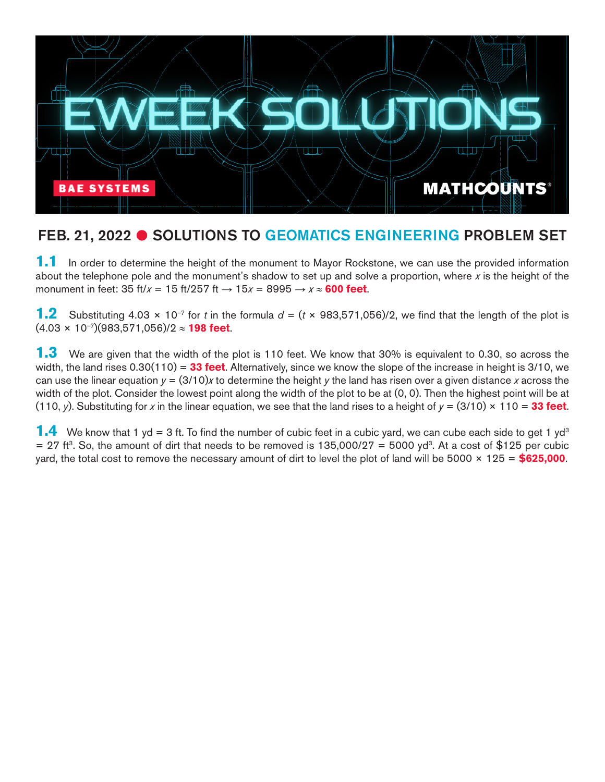

## FEB. 21, 2022 C SOLUTIONS TO GEOMATICS ENGINEERING PROBLEM SET

**1.1** In order to determine the height of the monument to Mayor Rockstone, we can use the provided information about the telephone pole and the monument's shadow to set up and solve a proportion, where x is the height of the monument in feet: 35 ft/ $x = 15$  ft/257 ft  $\rightarrow 15x = 8995 \rightarrow x \approx 600$  feet.

**1.2** Substituting 4.03  $\times$  10<sup>-7</sup> for *t* in the formula  $d = (t \times 983,571,056)/2$ , we find that the length of the plot is (4.03 × 10–7)(983,571,056)/2 ≈ **198 feet**.

**1.3** We are given that the width of the plot is 110 feet. We know that 30% is equivalent to 0.30, so across the width, the land rises 0.30(110) = **33 feet**. Alternatively, since we know the slope of the increase in height is 3/10, we can use the linear equation *y* = (3/10)*x* to determine the height *y* the land has risen over a given distance *x* across the width of the plot. Consider the lowest point along the width of the plot to be at (0, 0). Then the highest point will be at (110, *y*). Substituting for *x* in the linear equation, we see that the land rises to a height of *y* = (3/10) × 110 = **33 feet**.

**1.4** We know that 1 yd = 3 ft. To find the number of cubic feet in a cubic yard, we can cube each side to get 1 yd<sup>3</sup>  $= 27$  ft<sup>3</sup>. So, the amount of dirt that needs to be removed is 135,000/27 = 5000 yd<sup>3</sup>. At a cost of \$125 per cubic yard, the total cost to remove the necessary amount of dirt to level the plot of land will be 5000 × 125 = **\$625,000**.